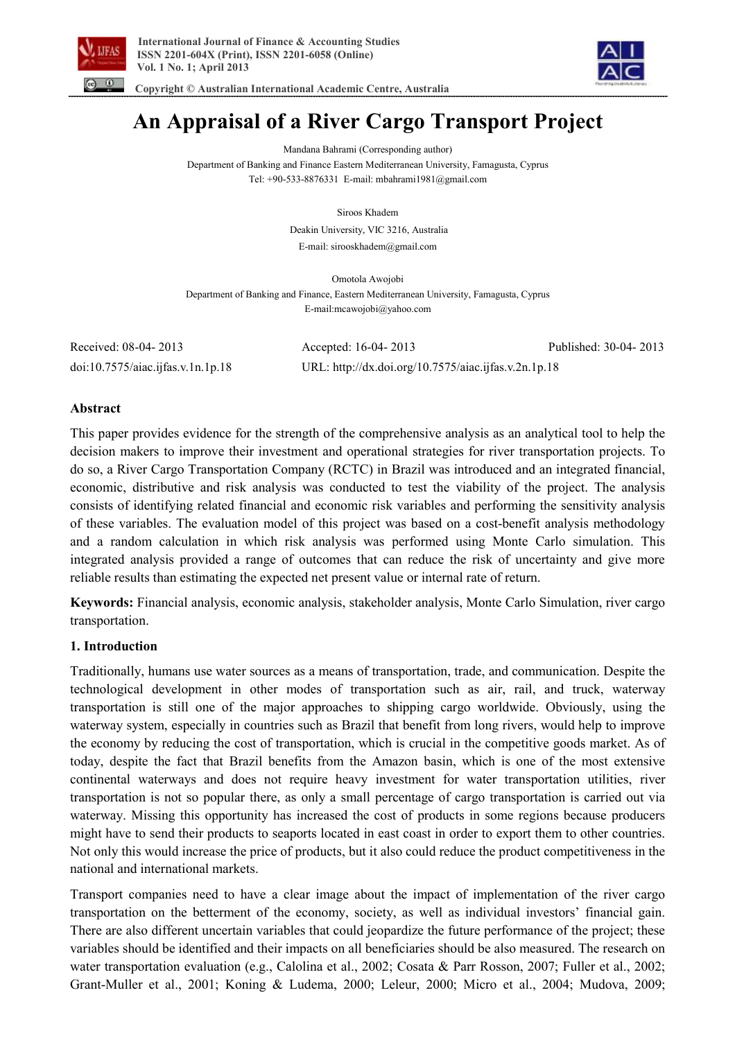



 **Copyright © Australian International Academic Centre, Australia** 

# **An Appraisal of a River Cargo Transport Project**

Mandana Bahrami (Corresponding author) Department of Banking and Finance Eastern Mediterranean University, Famagusta, Cyprus Tel: +90-533-8876331 E-mail: mbahrami1981@gmail.com

Siroos Khadem

Deakin University, VIC 3216, Australia E-mail: sirooskhadem@gmail.com

Omotola Awojobi Department of Banking and Finance, Eastern Mediterranean University, Famagusta, Cyprus E-mail:mcawojobi@yahoo.com

Received: 08-04- 2013 Accepted: 16-04- 2013 Published: 30-04- 2013 doi:10.7575/aiac.ijfas.v.1n.1p.18 URL: http://dx.doi.org/10.7575/aiac.ijfas.v.2n.1p.18

### **Abstract**

This paper provides evidence for the strength of the comprehensive analysis as an analytical tool to help the decision makers to improve their investment and operational strategies for river transportation projects. To do so, a River Cargo Transportation Company (RCTC) in Brazil was introduced and an integrated financial, economic, distributive and risk analysis was conducted to test the viability of the project. The analysis consists of identifying related financial and economic risk variables and performing the sensitivity analysis of these variables. The evaluation model of this project was based on a cost-benefit analysis methodology and a random calculation in which risk analysis was performed using Monte Carlo simulation. This integrated analysis provided a range of outcomes that can reduce the risk of uncertainty and give more reliable results than estimating the expected net present value or internal rate of return.

**Keywords:** Financial analysis, economic analysis, stakeholder analysis, Monte Carlo Simulation, river cargo transportation.

# **1. Introduction**

Traditionally, humans use water sources as a means of transportation, trade, and communication. Despite the technological development in other modes of transportation such as air, rail, and truck, waterway transportation is still one of the major approaches to shipping cargo worldwide. Obviously, using the waterway system, especially in countries such as Brazil that benefit from long rivers, would help to improve the economy by reducing the cost of transportation, which is crucial in the competitive goods market. As of today, despite the fact that Brazil benefits from the Amazon basin, which is one of the most extensive continental waterways and does not require heavy investment for water transportation utilities, river transportation is not so popular there, as only a small percentage of cargo transportation is carried out via waterway. Missing this opportunity has increased the cost of products in some regions because producers might have to send their products to seaports located in east coast in order to export them to other countries. Not only this would increase the price of products, but it also could reduce the product competitiveness in the national and international markets.

Transport companies need to have a clear image about the impact of implementation of the river cargo transportation on the betterment of the economy, society, as well as individual investors' financial gain. There are also different uncertain variables that could jeopardize the future performance of the project; these variables should be identified and their impacts on all beneficiaries should be also measured. The research on water transportation evaluation (e.g., Calolina et al., 2002; Cosata & Parr Rosson, 2007; Fuller et al., 2002; Grant-Muller et al., 2001; Koning & Ludema, 2000; Leleur, 2000; Micro et al., 2004; Mudova, 2009;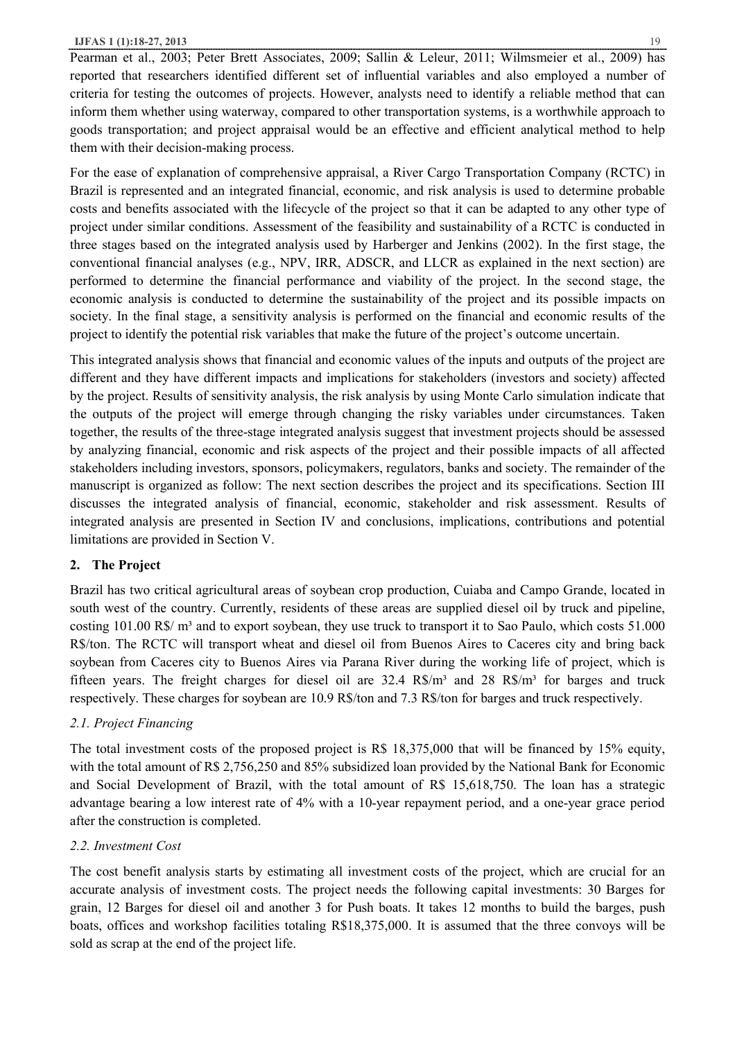Pearman et al., 2003; Peter Brett Associates, 2009; Sallin & Leleur, 2011; Wilmsmeier et al., 2009) has reported that researchers identified different set of influential variables and also employed a number of criteria for testing the outcomes of projects. However, analysts need to identify a reliable method that can inform them whether using waterway, compared to other transportation systems, is a worthwhile approach to goods transportation; and project appraisal would be an effective and efficient analytical method to help them with their decision-making process.

For the ease of explanation of comprehensive appraisal, a River Cargo Transportation Company (RCTC) in Brazil is represented and an integrated financial, economic, and risk analysis is used to determine probable costs and benefits associated with the lifecycle of the project so that it can be adapted to any other type of project under similar conditions. Assessment of the feasibility and sustainability of a RCTC is conducted in three stages based on the integrated analysis used by Harberger and Jenkins (2002). In the first stage, the conventional financial analyses (e.g., NPV, IRR, ADSCR, and LLCR as explained in the next section) are performed to determine the financial performance and viability of the project. In the second stage, the economic analysis is conducted to determine the sustainability of the project and its possible impacts on society. In the final stage, a sensitivity analysis is performed on the financial and economic results of the project to identify the potential risk variables that make the future of the project's outcome uncertain.

This integrated analysis shows that financial and economic values of the inputs and outputs of the project are different and they have different impacts and implications for stakeholders (investors and society) affected by the project. Results of sensitivity analysis, the risk analysis by using Monte Carlo simulation indicate that the outputs of the project will emerge through changing the risky variables under circumstances. Taken together, the results of the three-stage integrated analysis suggest that investment projects should be assessed by analyzing financial, economic and risk aspects of the project and their possible impacts of all affected stakeholders including investors, sponsors, policymakers, regulators, banks and society. The remainder of the manuscript is organized as follow: The next section describes the project and its specifications. Section III discusses the integrated analysis of financial, economic, stakeholder and risk assessment. Results of integrated analysis are presented in Section IV and conclusions, implications, contributions and potential limitations are provided in Section V.

# **2. The Project**

Brazil has two critical agricultural areas of soybean crop production, Cuiaba and Campo Grande, located in south west of the country. Currently, residents of these areas are supplied diesel oil by truck and pipeline, costing 101.00 R\$/ m<sup>3</sup> and to export soybean, they use truck to transport it to Sao Paulo, which costs 51.000 R\$/ton. The RCTC will transport wheat and diesel oil from Buenos Aires to Caceres city and bring back soybean from Caceres city to Buenos Aires via Parana River during the working life of project, which is fifteen years. The freight charges for diesel oil are 32.4 R\$/m<sup>3</sup> and 28 R\$/m<sup>3</sup> for barges and truck respectively. These charges for soybean are 10.9 R\$/ton and 7.3 R\$/ton for barges and truck respectively.

# *2.1. Project Financing*

The total investment costs of the proposed project is R\$ 18,375,000 that will be financed by 15% equity, with the total amount of R\$ 2,756,250 and 85% subsidized loan provided by the National Bank for Economic and Social Development of Brazil, with the total amount of R\$ 15,618,750. The loan has a strategic advantage bearing a low interest rate of 4% with a 10-year repayment period, and a one-year grace period after the construction is completed.

# *2.2. Investment Cost*

The cost benefit analysis starts by estimating all investment costs of the project, which are crucial for an accurate analysis of investment costs. The project needs the following capital investments: 30 Barges for grain, 12 Barges for diesel oil and another 3 for Push boats. It takes 12 months to build the barges, push boats, offices and workshop facilities totaling R\$18,375,000. It is assumed that the three convoys will be sold as scrap at the end of the project life.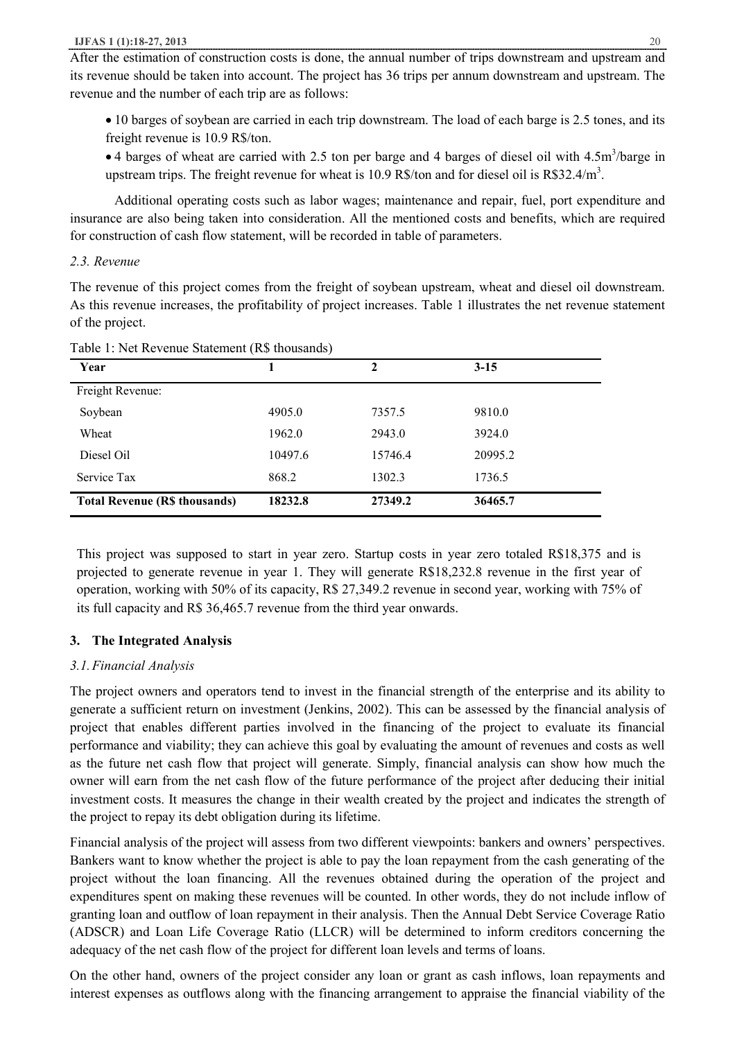After the estimation of construction costs is done, the annual number of trips downstream and upstream and its revenue should be taken into account. The project has 36 trips per annum downstream and upstream. The revenue and the number of each trip are as follows:

- · 10 barges of soybean are carried in each trip downstream. The load of each barge is 2.5 tones, and its freight revenue is 10.9 R\$/ton.
- 4 barges of wheat are carried with 2.5 ton per barge and 4 barges of diesel oil with 4.5m<sup>3</sup>/barge in upstream trips. The freight revenue for wheat is 10.9 R\$/ton and for diesel oil is  $R$32.4/m<sup>3</sup>$ .

Additional operating costs such as labor wages; maintenance and repair, fuel, port expenditure and insurance are also being taken into consideration. All the mentioned costs and benefits, which are required for construction of cash flow statement, will be recorded in table of parameters.

### *2.3. Revenue*

The revenue of this project comes from the freight of soybean upstream, wheat and diesel oil downstream. As this revenue increases, the profitability of project increases. Table 1 illustrates the net revenue statement of the project.

| Year                                 |         | 2       | $3 - 15$ |
|--------------------------------------|---------|---------|----------|
| Freight Revenue:                     |         |         |          |
| Soybean                              | 4905.0  | 7357.5  | 9810.0   |
| Wheat                                | 1962.0  | 2943.0  | 3924.0   |
| Diesel Oil                           | 10497.6 | 15746.4 | 20995.2  |
| Service Tax                          | 868.2   | 1302.3  | 1736.5   |
| <b>Total Revenue (R\$ thousands)</b> | 18232.8 | 27349.2 | 36465.7  |

Table 1: Net Revenue Statement (R\$ thousands)

This project was supposed to start in year zero. Startup costs in year zero totaled R\$18,375 and is projected to generate revenue in year 1. They will generate R\$18,232.8 revenue in the first year of operation, working with 50% of its capacity, R\$ 27,349.2 revenue in second year, working with 75% of its full capacity and R\$ 36,465.7 revenue from the third year onwards.

# **3. The Integrated Analysis**

# *3.1.Financial Analysis*

The project owners and operators tend to invest in the financial strength of the enterprise and its ability to generate a sufficient return on investment (Jenkins, 2002). This can be assessed by the financial analysis of project that enables different parties involved in the financing of the project to evaluate its financial performance and viability; they can achieve this goal by evaluating the amount of revenues and costs as well as the future net cash flow that project will generate. Simply, financial analysis can show how much the owner will earn from the net cash flow of the future performance of the project after deducing their initial investment costs. It measures the change in their wealth created by the project and indicates the strength of the project to repay its debt obligation during its lifetime.

Financial analysis of the project will assess from two different viewpoints: bankers and owners' perspectives. Bankers want to know whether the project is able to pay the loan repayment from the cash generating of the project without the loan financing. All the revenues obtained during the operation of the project and expenditures spent on making these revenues will be counted. In other words, they do not include inflow of granting loan and outflow of loan repayment in their analysis. Then the Annual Debt Service Coverage Ratio (ADSCR) and Loan Life Coverage Ratio (LLCR) will be determined to inform creditors concerning the adequacy of the net cash flow of the project for different loan levels and terms of loans.

On the other hand, owners of the project consider any loan or grant as cash inflows, loan repayments and interest expenses as outflows along with the financing arrangement to appraise the financial viability of the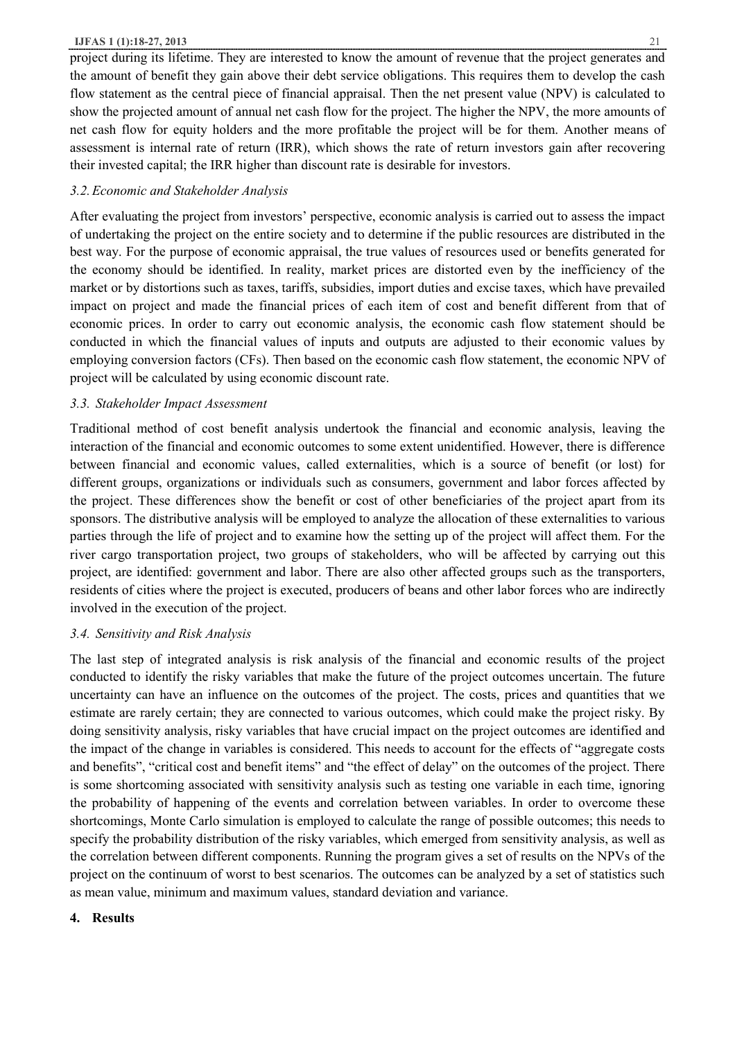#### **IJFAS 1 (1):18-27, 2013** 21

project during its lifetime. They are interested to know the amount of revenue that the project generates and the amount of benefit they gain above their debt service obligations. This requires them to develop the cash flow statement as the central piece of financial appraisal. Then the net present value (NPV) is calculated to show the projected amount of annual net cash flow for the project. The higher the NPV, the more amounts of net cash flow for equity holders and the more profitable the project will be for them. Another means of assessment is internal rate of return (IRR), which shows the rate of return investors gain after recovering their invested capital; the IRR higher than discount rate is desirable for investors.

### *3.2.Economic and Stakeholder Analysis*

After evaluating the project from investors' perspective, economic analysis is carried out to assess the impact of undertaking the project on the entire society and to determine if the public resources are distributed in the best way. For the purpose of economic appraisal, the true values of resources used or benefits generated for the economy should be identified. In reality, market prices are distorted even by the inefficiency of the market or by distortions such as taxes, tariffs, subsidies, import duties and excise taxes, which have prevailed impact on project and made the financial prices of each item of cost and benefit different from that of economic prices. In order to carry out economic analysis, the economic cash flow statement should be conducted in which the financial values of inputs and outputs are adjusted to their economic values by employing conversion factors (CFs). Then based on the economic cash flow statement, the economic NPV of project will be calculated by using economic discount rate.

### *3.3. Stakeholder Impact Assessment*

Traditional method of cost benefit analysis undertook the financial and economic analysis, leaving the interaction of the financial and economic outcomes to some extent unidentified. However, there is difference between financial and economic values, called externalities, which is a source of benefit (or lost) for different groups, organizations or individuals such as consumers, government and labor forces affected by the project. These differences show the benefit or cost of other beneficiaries of the project apart from its sponsors. The distributive analysis will be employed to analyze the allocation of these externalities to various parties through the life of project and to examine how the setting up of the project will affect them. For the river cargo transportation project, two groups of stakeholders, who will be affected by carrying out this project, are identified: government and labor. There are also other affected groups such as the transporters, residents of cities where the project is executed, producers of beans and other labor forces who are indirectly involved in the execution of the project.

### *3.4. Sensitivity and Risk Analysis*

The last step of integrated analysis is risk analysis of the financial and economic results of the project conducted to identify the risky variables that make the future of the project outcomes uncertain. The future uncertainty can have an influence on the outcomes of the project. The costs, prices and quantities that we estimate are rarely certain; they are connected to various outcomes, which could make the project risky. By doing sensitivity analysis, risky variables that have crucial impact on the project outcomes are identified and the impact of the change in variables is considered. This needs to account for the effects of "aggregate costs and benefits", "critical cost and benefit items" and "the effect of delay" on the outcomes of the project. There is some shortcoming associated with sensitivity analysis such as testing one variable in each time, ignoring the probability of happening of the events and correlation between variables. In order to overcome these shortcomings, Monte Carlo simulation is employed to calculate the range of possible outcomes; this needs to specify the probability distribution of the risky variables, which emerged from sensitivity analysis, as well as the correlation between different components. Running the program gives a set of results on the NPVs of the project on the continuum of worst to best scenarios. The outcomes can be analyzed by a set of statistics such as mean value, minimum and maximum values, standard deviation and variance.

### **4. Results**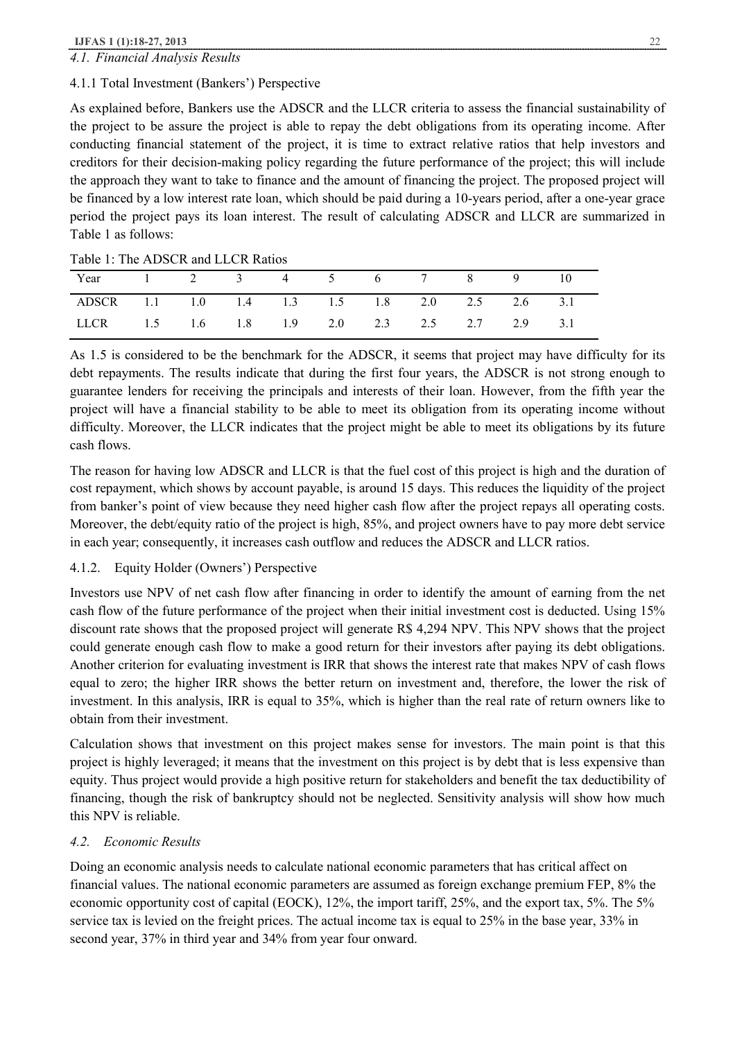# *4.1. Financial Analysis Results*

### 4.1.1 Total Investment (Bankers') Perspective

As explained before, Bankers use the ADSCR and the LLCR criteria to assess the financial sustainability of the project to be assure the project is able to repay the debt obligations from its operating income. After conducting financial statement of the project, it is time to extract relative ratios that help investors and creditors for their decision-making policy regarding the future performance of the project; this will include the approach they want to take to finance and the amount of financing the project. The proposed project will be financed by a low interest rate loan, which should be paid during a 10-years period, after a one-year grace period the project pays its loan interest. The result of calculating ADSCR and LLCR are summarized in Table 1 as follows:

| Year 1 2 3 4 5 6 7 8 9 10                     |  |  |  |  |  |
|-----------------------------------------------|--|--|--|--|--|
| ADSCR 1.1 1.0 1.4 1.3 1.5 1.8 2.0 2.5 2.6 3.1 |  |  |  |  |  |
| LLCR 1.5 1.6 1.8 1.9 2.0 2.3 2.5 2.7 2.9 3.1  |  |  |  |  |  |

Table 1: The ADSCR and LLCR Ratios

As 1.5 is considered to be the benchmark for the ADSCR, it seems that project may have difficulty for its debt repayments. The results indicate that during the first four years, the ADSCR is not strong enough to guarantee lenders for receiving the principals and interests of their loan. However, from the fifth year the project will have a financial stability to be able to meet its obligation from its operating income without difficulty. Moreover, the LLCR indicates that the project might be able to meet its obligations by its future cash flows.

The reason for having low ADSCR and LLCR is that the fuel cost of this project is high and the duration of cost repayment, which shows by account payable, is around 15 days. This reduces the liquidity of the project from banker's point of view because they need higher cash flow after the project repays all operating costs. Moreover, the debt/equity ratio of the project is high, 85%, and project owners have to pay more debt service in each year; consequently, it increases cash outflow and reduces the ADSCR and LLCR ratios.

# 4.1.2. Equity Holder (Owners') Perspective

Investors use NPV of net cash flow after financing in order to identify the amount of earning from the net cash flow of the future performance of the project when their initial investment cost is deducted. Using 15% discount rate shows that the proposed project will generate R\$ 4,294 NPV. This NPV shows that the project could generate enough cash flow to make a good return for their investors after paying its debt obligations. Another criterion for evaluating investment is IRR that shows the interest rate that makes NPV of cash flows equal to zero; the higher IRR shows the better return on investment and, therefore, the lower the risk of investment. In this analysis, IRR is equal to 35%, which is higher than the real rate of return owners like to obtain from their investment.

Calculation shows that investment on this project makes sense for investors. The main point is that this project is highly leveraged; it means that the investment on this project is by debt that is less expensive than equity. Thus project would provide a high positive return for stakeholders and benefit the tax deductibility of financing, though the risk of bankruptcy should not be neglected. Sensitivity analysis will show how much this NPV is reliable.

### *4.2. Economic Results*

Doing an economic analysis needs to calculate national economic parameters that has critical affect on financial values. The national economic parameters are assumed as foreign exchange premium FEP, 8% the economic opportunity cost of capital (EOCK), 12%, the import tariff, 25%, and the export tax, 5%. The 5% service tax is levied on the freight prices. The actual income tax is equal to 25% in the base year, 33% in second year, 37% in third year and 34% from year four onward.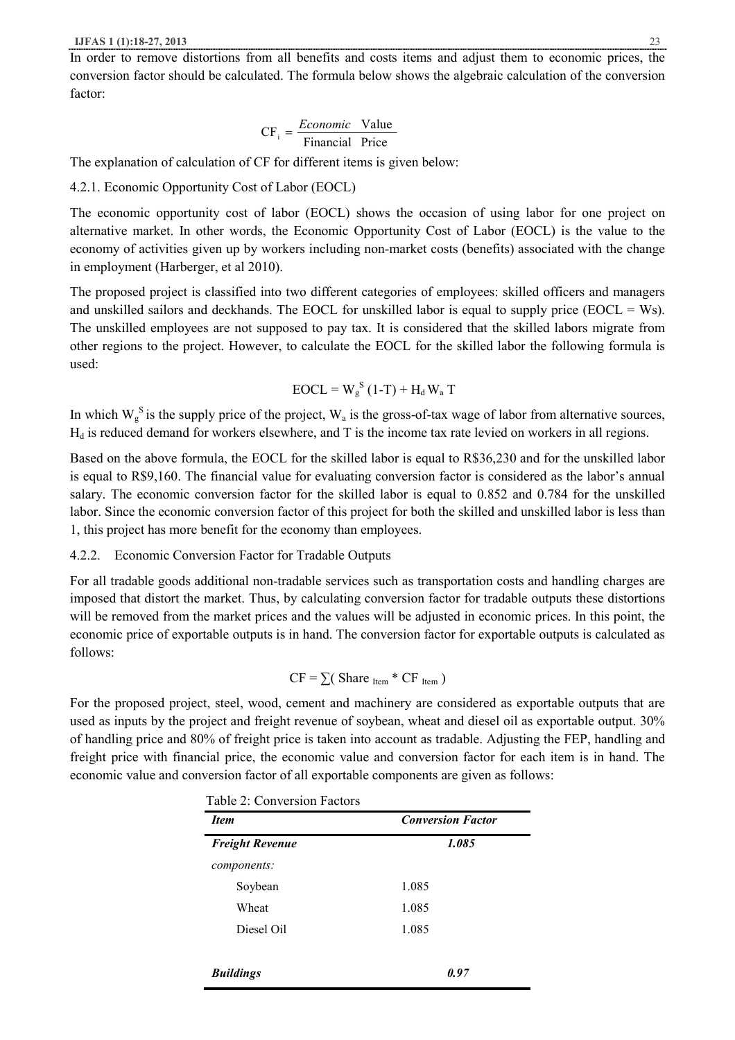In order to remove distortions from all benefits and costs items and adjust them to economic prices, the conversion factor should be calculated. The formula below shows the algebraic calculation of the conversion factor:

$$
CF_i = \frac{Economic \text{ Value}}{Financial \text{ Price}}
$$

The explanation of calculation of CF for different items is given below:

4.2.1. Economic Opportunity Cost of Labor (EOCL)

The economic opportunity cost of labor (EOCL) shows the occasion of using labor for one project on alternative market. In other words, the Economic Opportunity Cost of Labor (EOCL) is the value to the economy of activities given up by workers including non-market costs (benefits) associated with the change in employment (Harberger, et al 2010).

The proposed project is classified into two different categories of employees: skilled officers and managers and unskilled sailors and deckhands. The EOCL for unskilled labor is equal to supply price ( $EOCL = Ws$ ). The unskilled employees are not supposed to pay tax. It is considered that the skilled labors migrate from other regions to the project. However, to calculate the EOCL for the skilled labor the following formula is used:

$$
EOCL = W_g^S (1-T) + H_d W_a T
$$

In which  $W_g^S$  is the supply price of the project,  $W_a$  is the gross-of-tax wage of labor from alternative sources,  $H_d$  is reduced demand for workers elsewhere, and T is the income tax rate levied on workers in all regions.

Based on the above formula, the EOCL for the skilled labor is equal to R\$36,230 and for the unskilled labor is equal to R\$9,160. The financial value for evaluating conversion factor is considered as the labor's annual salary. The economic conversion factor for the skilled labor is equal to 0.852 and 0.784 for the unskilled labor. Since the economic conversion factor of this project for both the skilled and unskilled labor is less than 1, this project has more benefit for the economy than employees.

### 4.2.2. Economic Conversion Factor for Tradable Outputs

For all tradable goods additional non-tradable services such as transportation costs and handling charges are imposed that distort the market. Thus, by calculating conversion factor for tradable outputs these distortions will be removed from the market prices and the values will be adjusted in economic prices. In this point, the economic price of exportable outputs is in hand. The conversion factor for exportable outputs is calculated as follows:

$$
CF = \sum (Share_{Item} * CF_{Item})
$$

For the proposed project, steel, wood, cement and machinery are considered as exportable outputs that are used as inputs by the project and freight revenue of soybean, wheat and diesel oil as exportable output. 30% of handling price and 80% of freight price is taken into account as tradable. Adjusting the FEP, handling and freight price with financial price, the economic value and conversion factor for each item is in hand. The economic value and conversion factor of all exportable components are given as follows:

| <b>Item</b>            | <b>Conversion Factor</b> |  |  |
|------------------------|--------------------------|--|--|
| <b>Freight Revenue</b> | 1.085                    |  |  |
| components:            |                          |  |  |
| Soybean                | 1.085                    |  |  |
| Wheat                  | 1.085                    |  |  |
| Diesel Oil             | 1.085                    |  |  |
|                        |                          |  |  |
| <b>Buildings</b>       | 0.97                     |  |  |

Table 2: Conversion Factors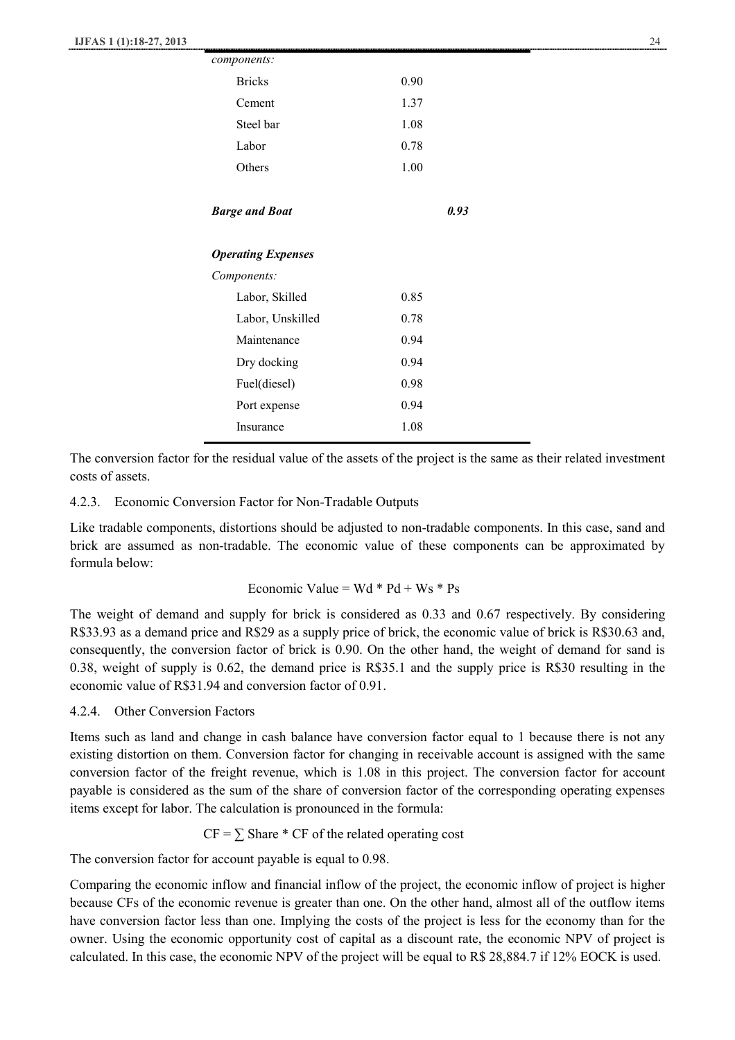| components:               |      |
|---------------------------|------|
| <b>Bricks</b>             | 0.90 |
| Cement                    | 1.37 |
| Steel bar                 | 1.08 |
| Labor                     | 0.78 |
| Others                    | 1.00 |
|                           |      |
| <b>Barge and Boat</b>     | 0.93 |
| <b>Operating Expenses</b> |      |
| Components:               |      |
| Labor, Skilled            | 0.85 |
| Labor, Unskilled          | 0.78 |
| Maintenance               | 0.94 |
| Dry docking               | 0.94 |
| Fuel(diesel)              | 0.98 |
| Port expense              | 0.94 |
| Insurance                 | 1.08 |

The conversion factor for the residual value of the assets of the project is the same as their related investment costs of assets.

### 4.2.3. Economic Conversion Factor for Non-Tradable Outputs

Like tradable components, distortions should be adjusted to non-tradable components. In this case, sand and brick are assumed as non-tradable. The economic value of these components can be approximated by formula below:

### Economic Value =  $Wd * Pd + Ws * Ps$

The weight of demand and supply for brick is considered as 0.33 and 0.67 respectively. By considering R\$33.93 as a demand price and R\$29 as a supply price of brick, the economic value of brick is R\$30.63 and, consequently, the conversion factor of brick is 0.90. On the other hand, the weight of demand for sand is 0.38, weight of supply is 0.62, the demand price is R\$35.1 and the supply price is R\$30 resulting in the economic value of R\$31.94 and conversion factor of 0.91.

### 4.2.4. Other Conversion Factors

Items such as land and change in cash balance have conversion factor equal to 1 because there is not any existing distortion on them. Conversion factor for changing in receivable account is assigned with the same conversion factor of the freight revenue, which is 1.08 in this project. The conversion factor for account payable is considered as the sum of the share of conversion factor of the corresponding operating expenses items except for labor. The calculation is pronounced in the formula:

$$
CF = \sum \text{Share} * CF \text{ of the related operating cost}
$$

The conversion factor for account payable is equal to 0.98.

Comparing the economic inflow and financial inflow of the project, the economic inflow of project is higher because CFs of the economic revenue is greater than one. On the other hand, almost all of the outflow items have conversion factor less than one. Implying the costs of the project is less for the economy than for the owner. Using the economic opportunity cost of capital as a discount rate, the economic NPV of project is calculated. In this case, the economic NPV of the project will be equal to R\$ 28,884.7 if 12% EOCK is used.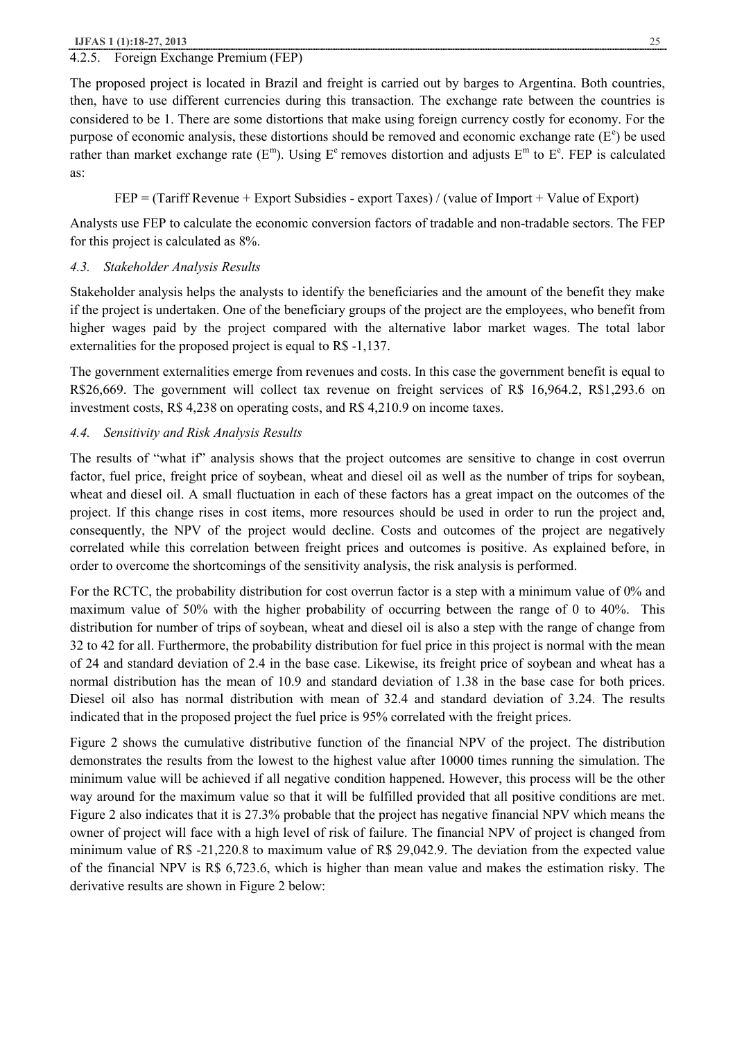### 4.2.5. Foreign Exchange Premium (FEP)

The proposed project is located in Brazil and freight is carried out by barges to Argentina. Both countries, then, have to use different currencies during this transaction. The exchange rate between the countries is considered to be 1. There are some distortions that make using foreign currency costly for economy. For the purpose of economic analysis, these distortions should be removed and economic exchange rate  $(E^e)$  be used rather than market exchange rate  $(E^m)$ . Using  $E^e$  removes distortion and adjusts  $E^m$  to  $E^e$ . FEP is calculated as:

$$
FEP = (Tariff Revenue + Expert Subsidies - export Taxes) / (value of Import + Value of Expert)
$$

Analysts use FEP to calculate the economic conversion factors of tradable and non-tradable sectors. The FEP for this project is calculated as 8%.

### *4.3. Stakeholder Analysis Results*

Stakeholder analysis helps the analysts to identify the beneficiaries and the amount of the benefit they make if the project is undertaken. One of the beneficiary groups of the project are the employees, who benefit from higher wages paid by the project compared with the alternative labor market wages. The total labor externalities for the proposed project is equal to R\$ -1,137.

The government externalities emerge from revenues and costs. In this case the government benefit is equal to R\$26,669. The government will collect tax revenue on freight services of R\$ 16,964.2, R\$1,293.6 on investment costs, R\$ 4,238 on operating costs, and R\$ 4,210.9 on income taxes.

### *4.4. Sensitivity and Risk Analysis Results*

The results of "what if" analysis shows that the project outcomes are sensitive to change in cost overrun factor, fuel price, freight price of soybean, wheat and diesel oil as well as the number of trips for soybean, wheat and diesel oil. A small fluctuation in each of these factors has a great impact on the outcomes of the project. If this change rises in cost items, more resources should be used in order to run the project and, consequently, the NPV of the project would decline. Costs and outcomes of the project are negatively correlated while this correlation between freight prices and outcomes is positive. As explained before, in order to overcome the shortcomings of the sensitivity analysis, the risk analysis is performed.

For the RCTC, the probability distribution for cost overrun factor is a step with a minimum value of 0% and maximum value of 50% with the higher probability of occurring between the range of 0 to 40%. This distribution for number of trips of soybean, wheat and diesel oil is also a step with the range of change from 32 to 42 for all. Furthermore, the probability distribution for fuel price in this project is normal with the mean of 24 and standard deviation of 2.4 in the base case. Likewise, its freight price of soybean and wheat has a normal distribution has the mean of 10.9 and standard deviation of 1.38 in the base case for both prices. Diesel oil also has normal distribution with mean of 32.4 and standard deviation of 3.24. The results indicated that in the proposed project the fuel price is 95% correlated with the freight prices.

Figure 2 shows the cumulative distributive function of the financial NPV of the project. The distribution demonstrates the results from the lowest to the highest value after 10000 times running the simulation. The minimum value will be achieved if all negative condition happened. However, this process will be the other way around for the maximum value so that it will be fulfilled provided that all positive conditions are met. Figure 2 also indicates that it is 27.3% probable that the project has negative financial NPV which means the owner of project will face with a high level of risk of failure. The financial NPV of project is changed from minimum value of R\$ -21,220.8 to maximum value of R\$ 29,042.9. The deviation from the expected value of the financial NPV is R\$ 6,723.6, which is higher than mean value and makes the estimation risky. The derivative results are shown in Figure 2 below: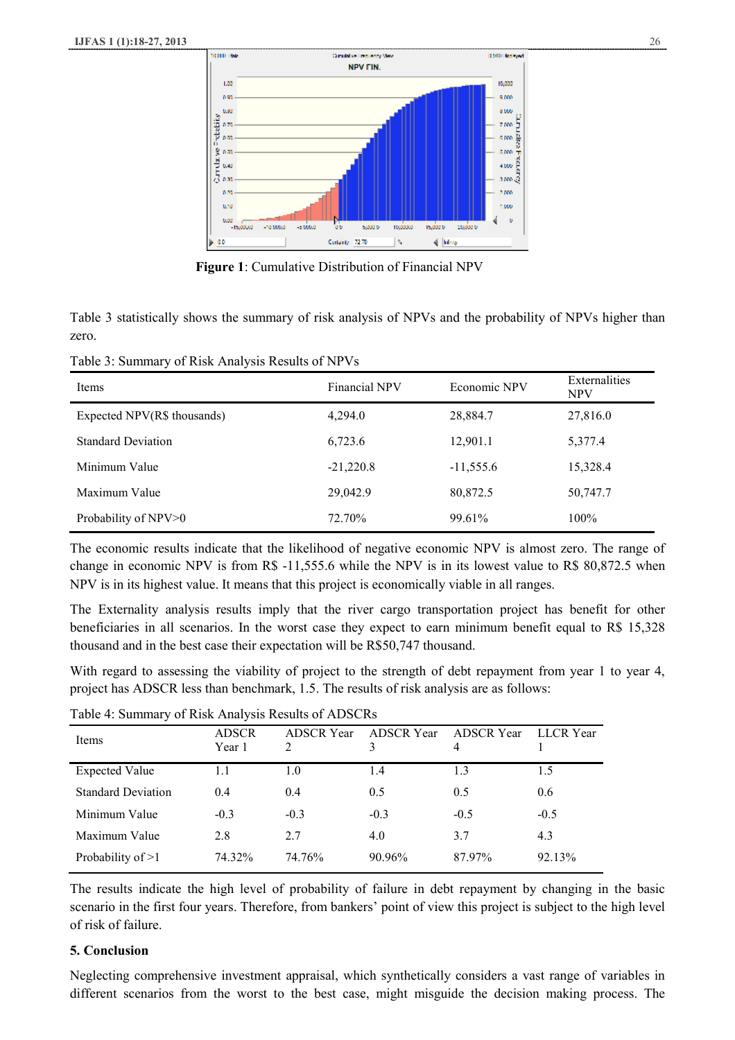

 **Figure 1**: Cumulative Distribution of Financial NPV

Table 3 statistically shows the summary of risk analysis of NPVs and the probability of NPVs higher than zero.

Table 3: Summary of Risk Analysis Results of NPVs

| Items                       | <b>Financial NPV</b> | Economic NPV | Externalities<br><b>NPV</b> |
|-----------------------------|----------------------|--------------|-----------------------------|
| Expected NPV(R\$ thousands) | 4.294.0              | 28,884.7     | 27,816.0                    |
| <b>Standard Deviation</b>   | 6,723.6              | 12,901.1     | 5,377.4                     |
| Minimum Value               | $-21,220.8$          | $-11,555.6$  | 15,328.4                    |
| Maximum Value               | 29,042.9             | 80,872.5     | 50,747.7                    |
| Probability of NPV>0        | 72.70%               | 99.61%       | 100%                        |

The economic results indicate that the likelihood of negative economic NPV is almost zero. The range of change in economic NPV is from R\$ -11,555.6 while the NPV is in its lowest value to R\$ 80,872.5 when NPV is in its highest value. It means that this project is economically viable in all ranges.

The Externality analysis results imply that the river cargo transportation project has benefit for other beneficiaries in all scenarios. In the worst case they expect to earn minimum benefit equal to R\$ 15,328 thousand and in the best case their expectation will be R\$50,747 thousand.

With regard to assessing the viability of project to the strength of debt repayment from year 1 to year 4, project has ADSCR less than benchmark, 1.5. The results of risk analysis are as follows:

| Items                     | <b>ADSCR</b><br>Year 1 | <b>ADSCR</b> Year<br>2 | <b>ADSCR</b> Year<br>3 | <b>ADSCR</b> Year<br>4 | <b>LLCR</b> Year |
|---------------------------|------------------------|------------------------|------------------------|------------------------|------------------|
| <b>Expected Value</b>     | 1.1                    | 1.0                    | 1.4                    | 1.3                    | 1.5              |
| <b>Standard Deviation</b> | 0.4                    | 0.4                    | 0.5                    | 0.5                    | 0.6              |
| Minimum Value             | $-0.3$                 | $-0.3$                 | $-0.3$                 | $-0.5$                 | $-0.5$           |
| Maximum Value             | 2.8                    | 2.7                    | 4.0                    | 3.7                    | 4.3              |
| Probability of $>1$       | 74.32%                 | 74.76%                 | 90.96%                 | 87.97%                 | 92.13%           |
|                           |                        |                        |                        |                        |                  |

Table 4: Summary of Risk Analysis Results of ADSCRs

The results indicate the high level of probability of failure in debt repayment by changing in the basic scenario in the first four years. Therefore, from bankers' point of view this project is subject to the high level of risk of failure.

### **5. Conclusion**

Neglecting comprehensive investment appraisal, which synthetically considers a vast range of variables in different scenarios from the worst to the best case, might misguide the decision making process. The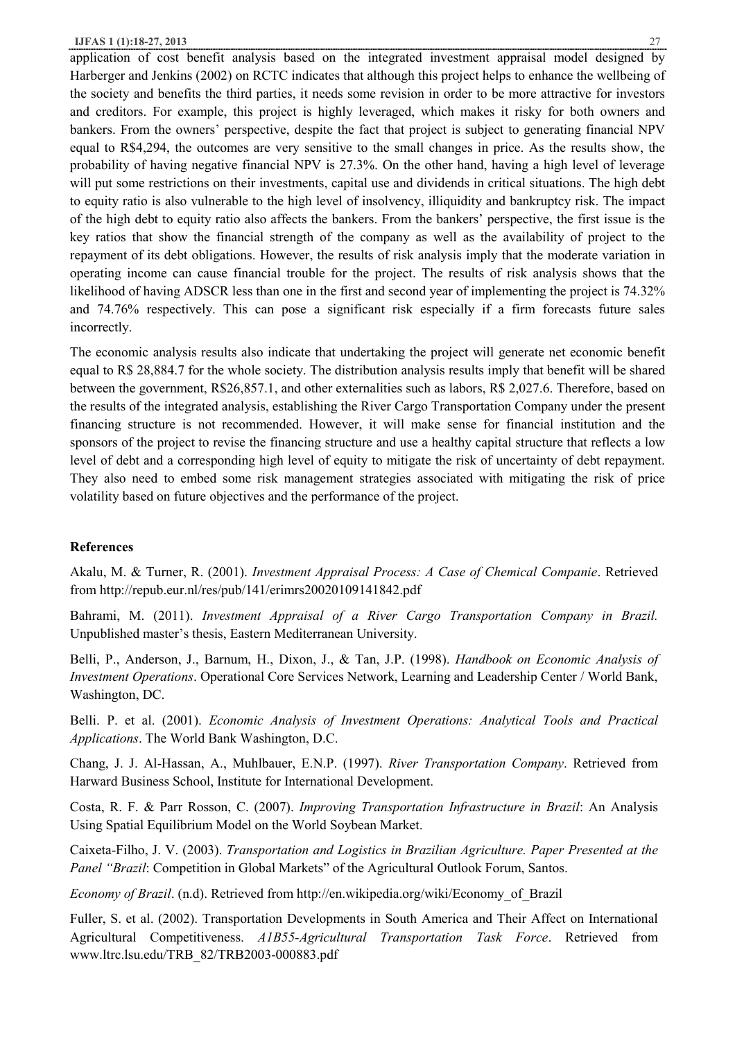application of cost benefit analysis based on the integrated investment appraisal model designed by Harberger and Jenkins (2002) on RCTC indicates that although this project helps to enhance the wellbeing of the society and benefits the third parties, it needs some revision in order to be more attractive for investors and creditors. For example, this project is highly leveraged, which makes it risky for both owners and bankers. From the owners' perspective, despite the fact that project is subject to generating financial NPV equal to R\$4,294, the outcomes are very sensitive to the small changes in price. As the results show, the probability of having negative financial NPV is 27.3%. On the other hand, having a high level of leverage will put some restrictions on their investments, capital use and dividends in critical situations. The high debt to equity ratio is also vulnerable to the high level of insolvency, illiquidity and bankruptcy risk. The impact of the high debt to equity ratio also affects the bankers. From the bankers' perspective, the first issue is the key ratios that show the financial strength of the company as well as the availability of project to the repayment of its debt obligations. However, the results of risk analysis imply that the moderate variation in operating income can cause financial trouble for the project. The results of risk analysis shows that the likelihood of having ADSCR less than one in the first and second year of implementing the project is 74.32% and 74.76% respectively. This can pose a significant risk especially if a firm forecasts future sales incorrectly.

The economic analysis results also indicate that undertaking the project will generate net economic benefit equal to R\$ 28,884.7 for the whole society. The distribution analysis results imply that benefit will be shared between the government, R\$26,857.1, and other externalities such as labors, R\$ 2,027.6. Therefore, based on the results of the integrated analysis, establishing the River Cargo Transportation Company under the present financing structure is not recommended. However, it will make sense for financial institution and the sponsors of the project to revise the financing structure and use a healthy capital structure that reflects a low level of debt and a corresponding high level of equity to mitigate the risk of uncertainty of debt repayment. They also need to embed some risk management strategies associated with mitigating the risk of price volatility based on future objectives and the performance of the project.

### **References**

Akalu, M. & Turner, R. (2001). *Investment Appraisal Process: A Case of Chemical Companie*. Retrieved from http://repub.eur.nl/res/pub/141/erimrs20020109141842.pdf

Bahrami, M. (2011). *Investment Appraisal of a River Cargo Transportation Company in Brazil.* Unpublished master's thesis, Eastern Mediterranean University.

Belli, P., Anderson, J., Barnum, H., Dixon, J., & Tan, J.P. (1998). *Handbook on Economic Analysis of Investment Operations*. Operational Core Services Network, Learning and Leadership Center / World Bank, Washington, DC.

Belli. P. et al. (2001). *Economic Analysis of Investment Operations: Analytical Tools and Practical Applications*. The World Bank Washington, D.C.

Chang, J. J. Al-Hassan, A., Muhlbauer, E.N.P. (1997). *River Transportation Company*. Retrieved from Harward Business School, Institute for International Development.

Costa, R. F. & Parr Rosson, C. (2007). *Improving Transportation Infrastructure in Brazil*: An Analysis Using Spatial Equilibrium Model on the World Soybean Market.

Caixeta-Filho, J. V. (2003). *Transportation and Logistics in Brazilian Agriculture. Paper Presented at the Panel "Brazil*: Competition in Global Markets" of the Agricultural Outlook Forum, Santos.

*Economy of Brazil*. (n.d). Retrieved from http://en.wikipedia.org/wiki/Economy\_of\_Brazil

Fuller, S. et al. (2002). Transportation Developments in South America and Their Affect on International Agricultural Competitiveness. *A1B55-Agricultural Transportation Task Force*. Retrieved from www.ltrc.lsu.edu/TRB\_82/TRB2003-000883.pdf